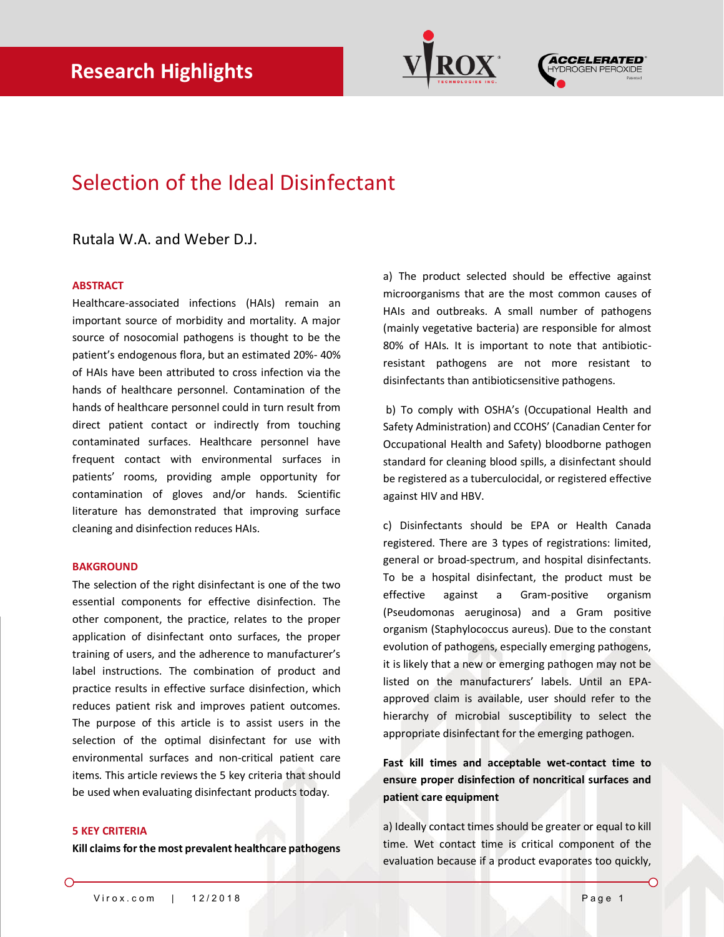



# Selection of the Ideal Disinfectant

## Rutala W.A. and Weber D.J.

## **ABSTRACT**

Healthcare-associated infections (HAIs) remain an important source of morbidity and mortality. A major source of nosocomial pathogens is thought to be the patient's endogenous flora, but an estimated 20%- 40% of HAIs have been attributed to cross infection via the hands of healthcare personnel. Contamination of the hands of healthcare personnel could in turn result from direct patient contact or indirectly from touching contaminated surfaces. Healthcare personnel have frequent contact with environmental surfaces in patients' rooms, providing ample opportunity for contamination of gloves and/or hands. Scientific literature has demonstrated that improving surface cleaning and disinfection reduces HAIs.

## **BAKGROUND**

The selection of the right disinfectant is one of the two essential components for effective disinfection. The other component, the practice, relates to the proper application of disinfectant onto surfaces, the proper training of users, and the adherence to manufacturer's label instructions. The combination of product and practice results in effective surface disinfection, which reduces patient risk and improves patient outcomes. The purpose of this article is to assist users in the selection of the optimal disinfectant for use with environmental surfaces and non-critical patient care items. This article reviews the 5 key criteria that should be used when evaluating disinfectant products today.

**5 KEY CRITERIA** 

**Kill claims for the most prevalent healthcare pathogens** 

a) The product selected should be effective against microorganisms that are the most common causes of HAIs and outbreaks. A small number of pathogens (mainly vegetative bacteria) are responsible for almost 80% of HAIs. It is important to note that antibioticresistant pathogens are not more resistant to disinfectants than antibioticsensitive pathogens.

b) To comply with OSHA's (Occupational Health and Safety Administration) and CCOHS' (Canadian Center for Occupational Health and Safety) bloodborne pathogen standard for cleaning blood spills, a disinfectant should be registered as a tuberculocidal, or registered effective against HIV and HBV.

c) Disinfectants should be EPA or Health Canada registered. There are 3 types of registrations: limited, general or broad-spectrum, and hospital disinfectants. To be a hospital disinfectant, the product must be effective against a Gram-positive organism (Pseudomonas aeruginosa) and a Gram positive organism (Staphylococcus aureus). Due to the constant evolution of pathogens, especially emerging pathogens, it is likely that a new or emerging pathogen may not be listed on the manufacturers' labels. Until an EPAapproved claim is available, user should refer to the hierarchy of microbial susceptibility to select the appropriate disinfectant for the emerging pathogen.

**Fast kill times and acceptable wet-contact time to ensure proper disinfection of noncritical surfaces and patient care equipment** 

a) Ideally contact times should be greater or equal to kill time. Wet contact time is critical component of the evaluation because if a product evaporates too quickly,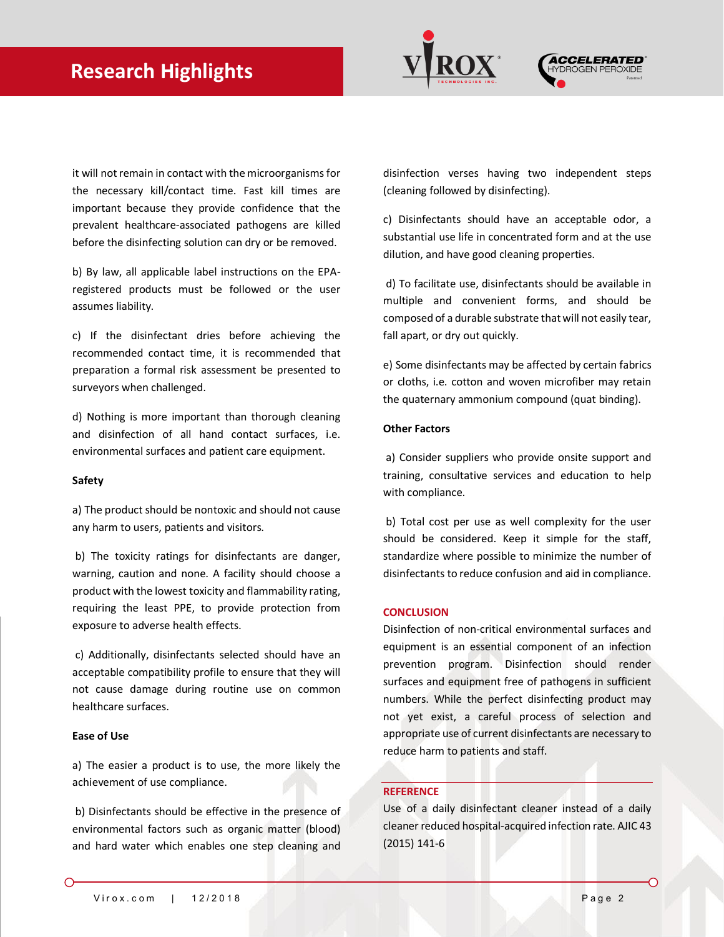



it will not remain in contact with the microorganisms for the necessary kill/contact time. Fast kill times are important because they provide confidence that the prevalent healthcare-associated pathogens are killed before the disinfecting solution can dry or be removed.

b) By law, all applicable label instructions on the EPAregistered products must be followed or the user assumes liability.

c) If the disinfectant dries before achieving the recommended contact time, it is recommended that preparation a formal risk assessment be presented to surveyors when challenged.

d) Nothing is more important than thorough cleaning and disinfection of all hand contact surfaces, i.e. environmental surfaces and patient care equipment.

#### **Safety**

a) The product should be nontoxic and should not cause any harm to users, patients and visitors.

b) The toxicity ratings for disinfectants are danger, warning, caution and none. A facility should choose a product with the lowest toxicity and flammability rating, requiring the least PPE, to provide protection from exposure to adverse health effects.

c) Additionally, disinfectants selected should have an acceptable compatibility profile to ensure that they will not cause damage during routine use on common healthcare surfaces.

## **Ease of Use**

a) The easier a product is to use, the more likely the achievement of use compliance.

b) Disinfectants should be effective in the presence of environmental factors such as organic matter (blood) and hard water which enables one step cleaning and disinfection verses having two independent steps (cleaning followed by disinfecting).

c) Disinfectants should have an acceptable odor, a substantial use life in concentrated form and at the use dilution, and have good cleaning properties.

d) To facilitate use, disinfectants should be available in multiple and convenient forms, and should be composed of a durable substrate that will not easily tear, fall apart, or dry out quickly.

e) Some disinfectants may be affected by certain fabrics or cloths, i.e. cotton and woven microfiber may retain the quaternary ammonium compound (quat binding).

## **Other Factors**

a) Consider suppliers who provide onsite support and training, consultative services and education to help with compliance.

b) Total cost per use as well complexity for the user should be considered. Keep it simple for the staff, standardize where possible to minimize the number of disinfectants to reduce confusion and aid in compliance.

#### **CONCLUSION**

Disinfection of non-critical environmental surfaces and equipment is an essential component of an infection prevention program. Disinfection should render surfaces and equipment free of pathogens in sufficient numbers. While the perfect disinfecting product may not yet exist, a careful process of selection and appropriate use of current disinfectants are necessary to reduce harm to patients and staff.

#### **REFERENCE**

Use of a daily disinfectant cleaner instead of a daily cleaner reduced hospital-acquired infection rate. AJIC 43 (2015) 141-6

◠